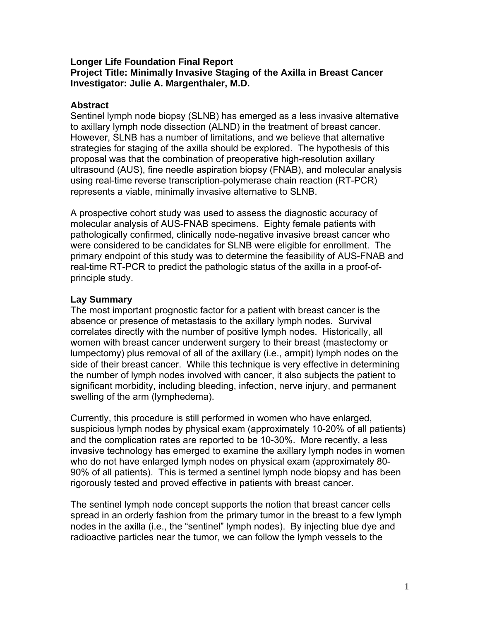### **Longer Life Foundation Final Report Project Title: Minimally Invasive Staging of the Axilla in Breast Cancer Investigator: Julie A. Margenthaler, M.D.**

## **Abstract**

Sentinel lymph node biopsy (SLNB) has emerged as a less invasive alternative to axillary lymph node dissection (ALND) in the treatment of breast cancer. However, SLNB has a number of limitations, and we believe that alternative strategies for staging of the axilla should be explored. The hypothesis of this proposal was that the combination of preoperative high-resolution axillary ultrasound (AUS), fine needle aspiration biopsy (FNAB), and molecular analysis using real-time reverse transcription-polymerase chain reaction (RT-PCR) represents a viable, minimally invasive alternative to SLNB.

A prospective cohort study was used to assess the diagnostic accuracy of molecular analysis of AUS-FNAB specimens. Eighty female patients with pathologically confirmed, clinically node-negative invasive breast cancer who were considered to be candidates for SLNB were eligible for enrollment. The primary endpoint of this study was to determine the feasibility of AUS-FNAB and real-time RT-PCR to predict the pathologic status of the axilla in a proof-ofprinciple study.

# **Lay Summary**

The most important prognostic factor for a patient with breast cancer is the absence or presence of metastasis to the axillary lymph nodes. Survival correlates directly with the number of positive lymph nodes. Historically, all women with breast cancer underwent surgery to their breast (mastectomy or lumpectomy) plus removal of all of the axillary (i.e., armpit) lymph nodes on the side of their breast cancer. While this technique is very effective in determining the number of lymph nodes involved with cancer, it also subjects the patient to significant morbidity, including bleeding, infection, nerve injury, and permanent swelling of the arm (lymphedema).

Currently, this procedure is still performed in women who have enlarged, suspicious lymph nodes by physical exam (approximately 10-20% of all patients) and the complication rates are reported to be 10-30%. More recently, a less invasive technology has emerged to examine the axillary lymph nodes in women who do not have enlarged lymph nodes on physical exam (approximately 80- 90% of all patients). This is termed a sentinel lymph node biopsy and has been rigorously tested and proved effective in patients with breast cancer.

The sentinel lymph node concept supports the notion that breast cancer cells spread in an orderly fashion from the primary tumor in the breast to a few lymph nodes in the axilla (i.e., the "sentinel" lymph nodes). By injecting blue dye and radioactive particles near the tumor, we can follow the lymph vessels to the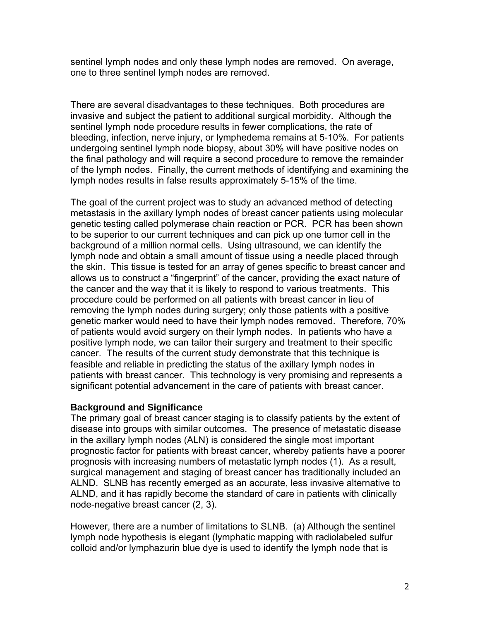sentinel lymph nodes and only these lymph nodes are removed. On average, one to three sentinel lymph nodes are removed.

There are several disadvantages to these techniques. Both procedures are invasive and subject the patient to additional surgical morbidity. Although the sentinel lymph node procedure results in fewer complications, the rate of bleeding, infection, nerve injury, or lymphedema remains at 5-10%. For patients undergoing sentinel lymph node biopsy, about 30% will have positive nodes on the final pathology and will require a second procedure to remove the remainder of the lymph nodes. Finally, the current methods of identifying and examining the lymph nodes results in false results approximately 5-15% of the time.

The goal of the current project was to study an advanced method of detecting metastasis in the axillary lymph nodes of breast cancer patients using molecular genetic testing called polymerase chain reaction or PCR. PCR has been shown to be superior to our current techniques and can pick up one tumor cell in the background of a million normal cells. Using ultrasound, we can identify the lymph node and obtain a small amount of tissue using a needle placed through the skin. This tissue is tested for an array of genes specific to breast cancer and allows us to construct a "fingerprint" of the cancer, providing the exact nature of the cancer and the way that it is likely to respond to various treatments. This procedure could be performed on all patients with breast cancer in lieu of removing the lymph nodes during surgery; only those patients with a positive genetic marker would need to have their lymph nodes removed. Therefore, 70% of patients would avoid surgery on their lymph nodes. In patients who have a positive lymph node, we can tailor their surgery and treatment to their specific cancer. The results of the current study demonstrate that this technique is feasible and reliable in predicting the status of the axillary lymph nodes in patients with breast cancer. This technology is very promising and represents a significant potential advancement in the care of patients with breast cancer.

### **Background and Significance**

The primary goal of breast cancer staging is to classify patients by the extent of disease into groups with similar outcomes. The presence of metastatic disease in the axillary lymph nodes (ALN) is considered the single most important prognostic factor for patients with breast cancer, whereby patients have a poorer prognosis with increasing numbers of metastatic lymph nodes (1). As a result, surgical management and staging of breast cancer has traditionally included an ALND. SLNB has recently emerged as an accurate, less invasive alternative to ALND, and it has rapidly become the standard of care in patients with clinically node-negative breast cancer (2, 3).

However, there are a number of limitations to SLNB. (a) Although the sentinel lymph node hypothesis is elegant (lymphatic mapping with radiolabeled sulfur colloid and/or lymphazurin blue dye is used to identify the lymph node that is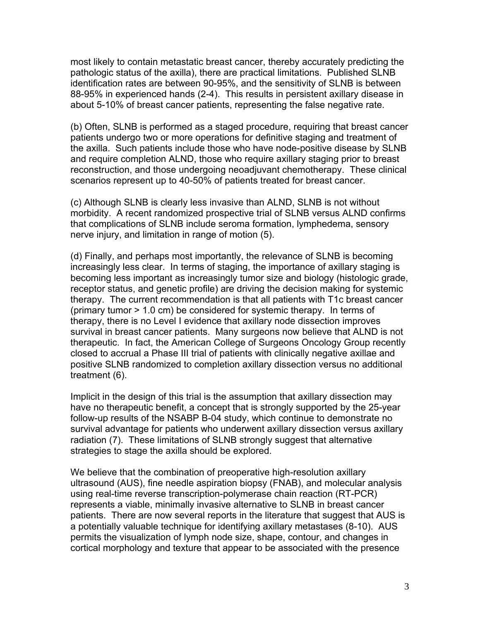most likely to contain metastatic breast cancer, thereby accurately predicting the pathologic status of the axilla), there are practical limitations. Published SLNB identification rates are between 90-95%, and the sensitivity of SLNB is between 88-95% in experienced hands (2-4). This results in persistent axillary disease in about 5-10% of breast cancer patients, representing the false negative rate.

(b) Often, SLNB is performed as a staged procedure, requiring that breast cancer patients undergo two or more operations for definitive staging and treatment of the axilla. Such patients include those who have node-positive disease by SLNB and require completion ALND, those who require axillary staging prior to breast reconstruction, and those undergoing neoadjuvant chemotherapy. These clinical scenarios represent up to 40-50% of patients treated for breast cancer.

(c) Although SLNB is clearly less invasive than ALND, SLNB is not without morbidity. A recent randomized prospective trial of SLNB versus ALND confirms that complications of SLNB include seroma formation, lymphedema, sensory nerve injury, and limitation in range of motion (5).

(d) Finally, and perhaps most importantly, the relevance of SLNB is becoming increasingly less clear. In terms of staging, the importance of axillary staging is becoming less important as increasingly tumor size and biology (histologic grade, receptor status, and genetic profile) are driving the decision making for systemic therapy. The current recommendation is that all patients with T1c breast cancer (primary tumor > 1.0 cm) be considered for systemic therapy. In terms of therapy, there is no Level I evidence that axillary node dissection improves survival in breast cancer patients. Many surgeons now believe that ALND is not therapeutic. In fact, the American College of Surgeons Oncology Group recently closed to accrual a Phase III trial of patients with clinically negative axillae and positive SLNB randomized to completion axillary dissection versus no additional treatment (6).

Implicit in the design of this trial is the assumption that axillary dissection may have no therapeutic benefit, a concept that is strongly supported by the 25-year follow-up results of the NSABP B-04 study, which continue to demonstrate no survival advantage for patients who underwent axillary dissection versus axillary radiation (7). These limitations of SLNB strongly suggest that alternative strategies to stage the axilla should be explored.

We believe that the combination of preoperative high-resolution axillary ultrasound (AUS), fine needle aspiration biopsy (FNAB), and molecular analysis using real-time reverse transcription-polymerase chain reaction (RT-PCR) represents a viable, minimally invasive alternative to SLNB in breast cancer patients. There are now several reports in the literature that suggest that AUS is a potentially valuable technique for identifying axillary metastases (8-10). AUS permits the visualization of lymph node size, shape, contour, and changes in cortical morphology and texture that appear to be associated with the presence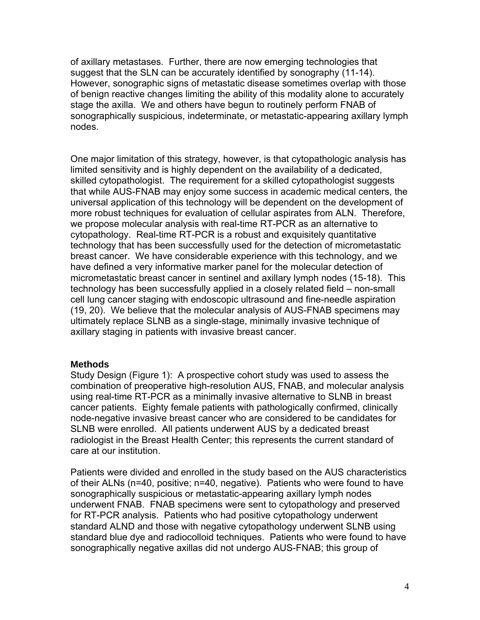of axillary metastases. Further, there are now emerging technologies that suggest that the SLN can be accurately identified by sonography (11-14). However, sonographic signs of metastatic disease sometimes overlap with those of benign reactive changes limiting the ability of this modality alone to accurately stage the axilla. We and others have begun to routinely perform FNAB of sonographically suspicious, indeterminate, or metastatic-appearing axillary lymph nodes.

One major limitation of this strategy, however, is that cytopathologic analysis has limited sensitivity and is highly dependent on the availability of a dedicated, skilled cytopathologist. The requirement for a skilled cytopathologist suggests that while AUS-FNAB may enjoy some success in academic medical centers, the universal application of this technology will be dependent on the development of more robust techniques for evaluation of cellular aspirates from ALN. Therefore, we propose molecular analysis with real-time RT-PCR as an alternative to cytopathology. Real-time RT-PCR is a robust and exquisitely quantitative technology that has been successfully used for the detection of micrometastatic breast cancer. We have considerable experience with this technology, and we have defined a very informative marker panel for the molecular detection of micrometastatic breast cancer in sentinel and axillary lymph nodes (15-18). This technology has been successfully applied in a closely related field – non-small cell lung cancer staging with endoscopic ultrasound and fine-needle aspiration (19, 20). We believe that the molecular analysis of AUS-FNAB specimens may ultimately replace SLNB as a single-stage, minimally invasive technique of axillary staging in patients with invasive breast cancer.

### **Methods**

Study Design (Figure 1): A prospective cohort study was used to assess the combination of preoperative high-resolution AUS, FNAB, and molecular analysis using real-time RT-PCR as a minimally invasive alternative to SLNB in breast cancer patients. Eighty female patients with pathologically confirmed, clinically node-negative invasive breast cancer who are considered to be candidates for SLNB were enrolled. All patients underwent AUS by a dedicated breast radiologist in the Breast Health Center; this represents the current standard of care at our institution.

Patients were divided and enrolled in the study based on the AUS characteristics of their ALNs (n=40, positive; n=40, negative). Patients who were found to have sonographically suspicious or metastatic-appearing axillary lymph nodes underwent FNAB. FNAB specimens were sent to cytopathology and preserved for RT-PCR analysis. Patients who had positive cytopathology underwent standard ALND and those with negative cytopathology underwent SLNB using standard blue dye and radiocolloid techniques. Patients who were found to have sonographically negative axillas did not undergo AUS-FNAB; this group of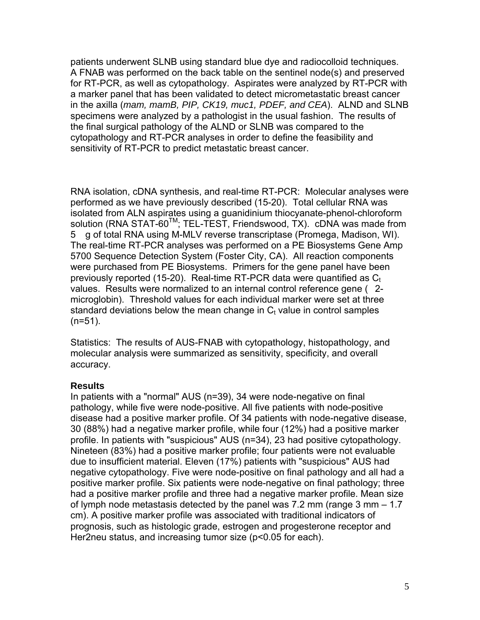patients underwent SLNB using standard blue dye and radiocolloid techniques. A FNAB was performed on the back table on the sentinel node(s) and preserved for RT-PCR, as well as cytopathology. Aspirates were analyzed by RT-PCR with a marker panel that has been validated to detect micrometastatic breast cancer in the axilla (*mam, mamB, PIP, CK19, muc1, PDEF, and CEA*). ALND and SLNB specimens were analyzed by a pathologist in the usual fashion. The results of the final surgical pathology of the ALND or SLNB was compared to the cytopathology and RT-PCR analyses in order to define the feasibility and sensitivity of RT-PCR to predict metastatic breast cancer.

RNA isolation, cDNA synthesis, and real-time RT-PCR: Molecular analyses were performed as we have previously described (15-20). Total cellular RNA was isolated from ALN aspirates using a guanidinium thiocyanate-phenol-chloroform solution (RNA STAT-60<sup>™</sup>; TEL-TEST, Friendswood, TX). cDNA was made from 5 g of total RNA using M-MLV reverse transcriptase (Promega, Madison, WI). The real-time RT-PCR analyses was performed on a PE Biosystems Gene Amp 5700 Sequence Detection System (Foster City, CA). All reaction components were purchased from PE Biosystems. Primers for the gene panel have been previously reported (15-20). Real-time RT-PCR data were quantified as  $C_t$ values. Results were normalized to an internal control reference gene (2microglobin). Threshold values for each individual marker were set at three standard deviations below the mean change in  $C<sub>t</sub>$  value in control samples  $(n=51)$ .

Statistics: The results of AUS-FNAB with cytopathology, histopathology, and molecular analysis were summarized as sensitivity, specificity, and overall accuracy.

# **Results**

In patients with a "normal" AUS (n=39), 34 were node-negative on final pathology, while five were node-positive. All five patients with node-positive disease had a positive marker profile. Of 34 patients with node-negative disease, 30 (88%) had a negative marker profile, while four (12%) had a positive marker profile. In patients with "suspicious" AUS (n=34), 23 had positive cytopathology. Nineteen (83%) had a positive marker profile; four patients were not evaluable due to insufficient material. Eleven (17%) patients with "suspicious" AUS had negative cytopathology. Five were node-positive on final pathology and all had a positive marker profile. Six patients were node-negative on final pathology; three had a positive marker profile and three had a negative marker profile. Mean size of lymph node metastasis detected by the panel was 7.2 mm (range 3 mm – 1.7 cm). A positive marker profile was associated with traditional indicators of prognosis, such as histologic grade, estrogen and progesterone receptor and Her2neu status, and increasing tumor size (p<0.05 for each).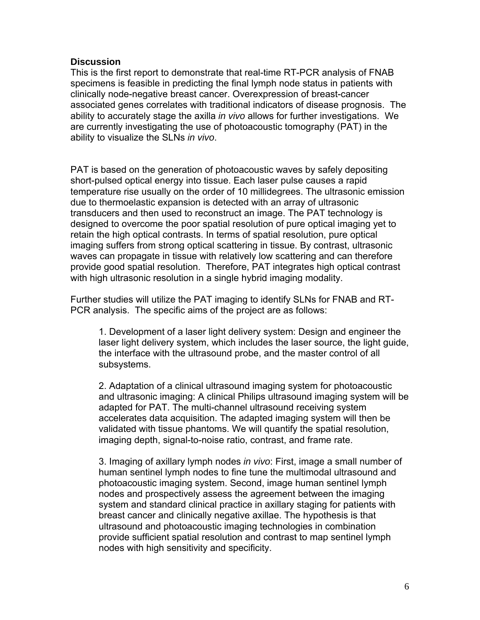#### **Discussion**

This is the first report to demonstrate that real-time RT-PCR analysis of FNAB specimens is feasible in predicting the final lymph node status in patients with clinically node-negative breast cancer. Overexpression of breast-cancer associated genes correlates with traditional indicators of disease prognosis. The ability to accurately stage the axilla *in vivo* allows for further investigations. We are currently investigating the use of photoacoustic tomography (PAT) in the ability to visualize the SLNs *in vivo*.

PAT is based on the generation of photoacoustic waves by safely depositing short-pulsed optical energy into tissue. Each laser pulse causes a rapid temperature rise usually on the order of 10 millidegrees. The ultrasonic emission due to thermoelastic expansion is detected with an array of ultrasonic transducers and then used to reconstruct an image. The PAT technology is designed to overcome the poor spatial resolution of pure optical imaging yet to retain the high optical contrasts. In terms of spatial resolution, pure optical imaging suffers from strong optical scattering in tissue. By contrast, ultrasonic waves can propagate in tissue with relatively low scattering and can therefore provide good spatial resolution. Therefore, PAT integrates high optical contrast with high ultrasonic resolution in a single hybrid imaging modality.

Further studies will utilize the PAT imaging to identify SLNs for FNAB and RT-PCR analysis. The specific aims of the project are as follows:

1. Development of a laser light delivery system: Design and engineer the laser light delivery system, which includes the laser source, the light guide, the interface with the ultrasound probe, and the master control of all subsystems.

2. Adaptation of a clinical ultrasound imaging system for photoacoustic and ultrasonic imaging: A clinical Philips ultrasound imaging system will be adapted for PAT. The multi-channel ultrasound receiving system accelerates data acquisition. The adapted imaging system will then be validated with tissue phantoms. We will quantify the spatial resolution, imaging depth, signal-to-noise ratio, contrast, and frame rate.

3. Imaging of axillary lymph nodes *in vivo*: First, image a small number of human sentinel lymph nodes to fine tune the multimodal ultrasound and photoacoustic imaging system. Second, image human sentinel lymph nodes and prospectively assess the agreement between the imaging system and standard clinical practice in axillary staging for patients with breast cancer and clinically negative axillae. The hypothesis is that ultrasound and photoacoustic imaging technologies in combination provide sufficient spatial resolution and contrast to map sentinel lymph nodes with high sensitivity and specificity.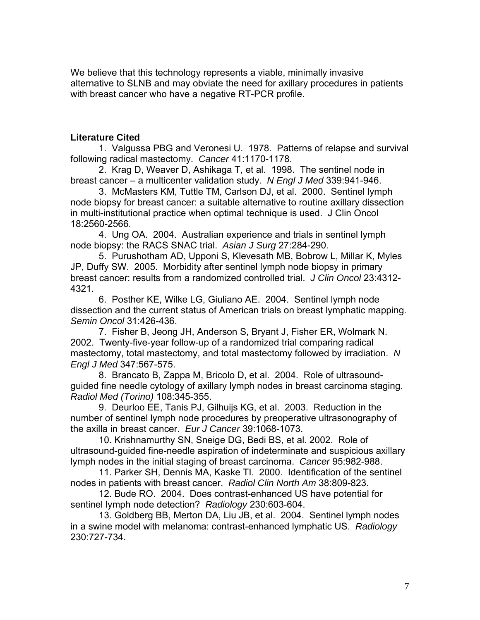We believe that this technology represents a viable, minimally invasive alternative to SLNB and may obviate the need for axillary procedures in patients with breast cancer who have a negative RT-PCR profile.

### **Literature Cited**

 1. Valgussa PBG and Veronesi U. 1978. Patterns of relapse and survival following radical mastectomy. *Cancer* 41:1170-1178.

 2. Krag D, Weaver D, Ashikaga T, et al. 1998. The sentinel node in breast cancer – a multicenter validation study. *N Engl J Med* 339:941-946.

 3. McMasters KM, Tuttle TM, Carlson DJ, et al. 2000. Sentinel lymph node biopsy for breast cancer: a suitable alternative to routine axillary dissection in multi-institutional practice when optimal technique is used. J Clin Oncol 18:2560-2566.

 4. Ung OA. 2004. Australian experience and trials in sentinel lymph node biopsy: the RACS SNAC trial. *Asian J Surg* 27:284-290.

 5. Purushotham AD, Upponi S, Klevesath MB, Bobrow L, Millar K, Myles JP, Duffy SW. 2005. Morbidity after sentinel lymph node biopsy in primary breast cancer: results from a randomized controlled trial. *J Clin Oncol* 23:4312- 4321.

 6. Posther KE, Wilke LG, Giuliano AE. 2004. Sentinel lymph node dissection and the current status of American trials on breast lymphatic mapping. *Semin Oncol* 31:426-436.

 7. Fisher B, Jeong JH, Anderson S, Bryant J, Fisher ER, Wolmark N. 2002. Twenty-five-year follow-up of a randomized trial comparing radical mastectomy, total mastectomy, and total mastectomy followed by irradiation. *N Engl J Med* 347:567-575.

 8. Brancato B, Zappa M, Bricolo D, et al. 2004. Role of ultrasoundguided fine needle cytology of axillary lymph nodes in breast carcinoma staging. *Radiol Med (Torino)* 108:345-355.

 9. Deurloo EE, Tanis PJ, Gilhuijs KG, et al. 2003. Reduction in the number of sentinel lymph node procedures by preoperative ultrasonography of the axilla in breast cancer. *Eur J Cancer* 39:1068-1073.

 10. Krishnamurthy SN, Sneige DG, Bedi BS, et al. 2002. Role of ultrasound-guided fine-needle aspiration of indeterminate and suspicious axillary lymph nodes in the initial staging of breast carcinoma. *Cancer* 95:982-988.

 11. Parker SH, Dennis MA, Kaske TI. 2000. Identification of the sentinel nodes in patients with breast cancer. *Radiol Clin North Am* 38:809-823.

 12. Bude RO. 2004. Does contrast-enhanced US have potential for sentinel lymph node detection? *Radiology* 230:603-604.

 13. Goldberg BB, Merton DA, Liu JB, et al. 2004. Sentinel lymph nodes in a swine model with melanoma: contrast-enhanced lymphatic US. *Radiology* 230:727-734.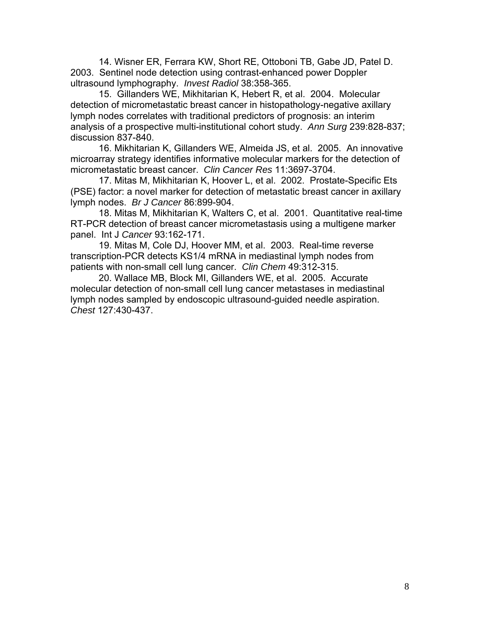14. Wisner ER, Ferrara KW, Short RE, Ottoboni TB, Gabe JD, Patel D. 2003. Sentinel node detection using contrast-enhanced power Doppler ultrasound lymphography. *Invest Radiol* 38:358-365.

 15. Gillanders WE, Mikhitarian K, Hebert R, et al. 2004. Molecular detection of micrometastatic breast cancer in histopathology-negative axillary lymph nodes correlates with traditional predictors of prognosis: an interim analysis of a prospective multi-institutional cohort study. *Ann Surg* 239:828-837; discussion 837-840.

 16. Mikhitarian K, Gillanders WE, Almeida JS, et al. 2005. An innovative microarray strategy identifies informative molecular markers for the detection of micrometastatic breast cancer. *Clin Cancer Res* 11:3697-3704.

 17. Mitas M, Mikhitarian K, Hoover L, et al. 2002. Prostate-Specific Ets (PSE) factor: a novel marker for detection of metastatic breast cancer in axillary lymph nodes. *Br J Cancer* 86:899-904.

 18. Mitas M, Mikhitarian K, Walters C, et al. 2001. Quantitative real-time RT-PCR detection of breast cancer micrometastasis using a multigene marker panel. Int J *Cancer* 93:162-171.

 19. Mitas M, Cole DJ, Hoover MM, et al. 2003. Real-time reverse transcription-PCR detects KS1/4 mRNA in mediastinal lymph nodes from patients with non-small cell lung cancer. *Clin Chem* 49:312-315.

 20. Wallace MB, Block MI, Gillanders WE, et al. 2005. Accurate molecular detection of non-small cell lung cancer metastases in mediastinal lymph nodes sampled by endoscopic ultrasound-guided needle aspiration. *Chest* 127:430-437.